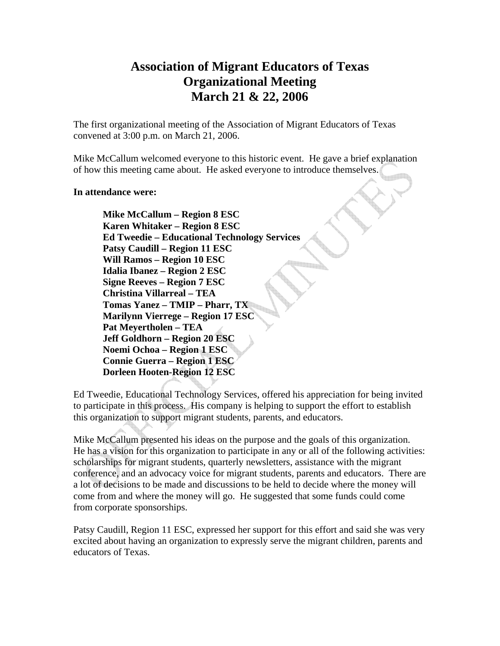## **Association of Migrant Educators of Texas Organizational Meeting March 21 & 22, 2006**

The first organizational meeting of the Association of Migrant Educators of Texas convened at 3:00 p.m. on March 21, 2006.

Mike McCallum welcomed everyone to this historic event. He gave a brief explanation of how this meeting came about. He asked everyone to introduce themselves.

## **In attendance were:**

 **Mike McCallum – Region 8 ESC Karen Whitaker – Region 8 ESC Ed Tweedie – Educational Technology Services Patsy Caudill – Region 11 ESC Will Ramos – Region 10 ESC Idalia Ibanez – Region 2 ESC Signe Reeves – Region 7 ESC Christina Villarreal – TEA Tomas Yanez – TMIP – Pharr, TX Marilynn Vierrege – Region 17 ESC Pat Meyertholen – TEA Jeff Goldhorn – Region 20 ESC Noemi Ochoa – Region 1 ESC Connie Guerra – Region 1 ESC Dorleen Hooten-Region 12 ESC** 

Ed Tweedie, Educational Technology Services, offered his appreciation for being invited to participate in this process. His company is helping to support the effort to establish this organization to support migrant students, parents, and educators.

Mike McCallum presented his ideas on the purpose and the goals of this organization. He has a vision for this organization to participate in any or all of the following activities: scholarships for migrant students, quarterly newsletters, assistance with the migrant conference, and an advocacy voice for migrant students, parents and educators. There are a lot of decisions to be made and discussions to be held to decide where the money will come from and where the money will go. He suggested that some funds could come from corporate sponsorships.

Patsy Caudill, Region 11 ESC, expressed her support for this effort and said she was very excited about having an organization to expressly serve the migrant children, parents and educators of Texas.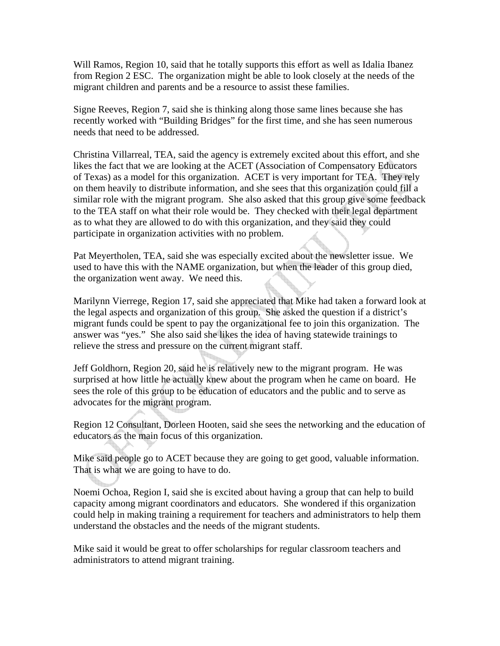Will Ramos, Region 10, said that he totally supports this effort as well as Idalia Ibanez from Region 2 ESC. The organization might be able to look closely at the needs of the migrant children and parents and be a resource to assist these families.

Signe Reeves, Region 7, said she is thinking along those same lines because she has recently worked with "Building Bridges" for the first time, and she has seen numerous needs that need to be addressed.

Christina Villarreal, TEA, said the agency is extremely excited about this effort, and she likes the fact that we are looking at the ACET (Association of Compensatory Educators of Texas) as a model for this organization. ACET is very important for TEA. They rely on them heavily to distribute information, and she sees that this organization could fill a similar role with the migrant program. She also asked that this group give some feedback to the TEA staff on what their role would be. They checked with their legal department as to what they are allowed to do with this organization, and they said they could participate in organization activities with no problem.

Pat Meyertholen, TEA, said she was especially excited about the newsletter issue. We used to have this with the NAME organization, but when the leader of this group died, the organization went away. We need this.

Marilynn Vierrege, Region 17, said she appreciated that Mike had taken a forward look at the legal aspects and organization of this group. She asked the question if a district's migrant funds could be spent to pay the organizational fee to join this organization. The answer was "yes." She also said she likes the idea of having statewide trainings to relieve the stress and pressure on the current migrant staff.

Jeff Goldhorn, Region 20, said he is relatively new to the migrant program. He was surprised at how little he actually knew about the program when he came on board. He sees the role of this group to be education of educators and the public and to serve as advocates for the migrant program.

Region 12 Consultant, Dorleen Hooten, said she sees the networking and the education of educators as the main focus of this organization.

Mike said people go to ACET because they are going to get good, valuable information. That is what we are going to have to do.

Noemi Ochoa, Region I, said she is excited about having a group that can help to build capacity among migrant coordinators and educators. She wondered if this organization could help in making training a requirement for teachers and administrators to help them understand the obstacles and the needs of the migrant students.

Mike said it would be great to offer scholarships for regular classroom teachers and administrators to attend migrant training.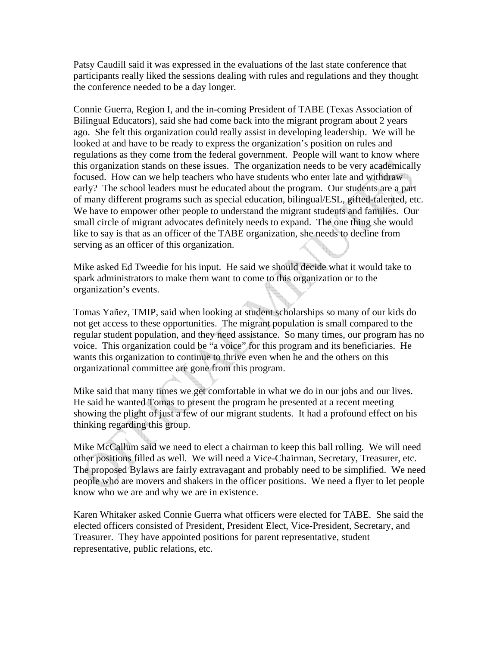Patsy Caudill said it was expressed in the evaluations of the last state conference that participants really liked the sessions dealing with rules and regulations and they thought the conference needed to be a day longer.

Connie Guerra, Region I, and the in-coming President of TABE (Texas Association of Bilingual Educators), said she had come back into the migrant program about 2 years ago. She felt this organization could really assist in developing leadership. We will be looked at and have to be ready to express the organization's position on rules and regulations as they come from the federal government. People will want to know where this organization stands on these issues. The organization needs to be very academically focused. How can we help teachers who have students who enter late and withdraw early? The school leaders must be educated about the program. Our students are a part of many different programs such as special education, bilingual/ESL, gifted-talented, etc. We have to empower other people to understand the migrant students and families. Our small circle of migrant advocates definitely needs to expand. The one thing she would like to say is that as an officer of the TABE organization, she needs to decline from serving as an officer of this organization.

Mike asked Ed Tweedie for his input. He said we should decide what it would take to spark administrators to make them want to come to this organization or to the organization's events.

Tomas Yañez, TMIP, said when looking at student scholarships so many of our kids do not get access to these opportunities. The migrant population is small compared to the regular student population, and they need assistance. So many times, our program has no voice. This organization could be "a voice" for this program and its beneficiaries. He wants this organization to continue to thrive even when he and the others on this organizational committee are gone from this program.

Mike said that many times we get comfortable in what we do in our jobs and our lives. He said he wanted Tomas to present the program he presented at a recent meeting showing the plight of just a few of our migrant students. It had a profound effect on his thinking regarding this group.

Mike McCallum said we need to elect a chairman to keep this ball rolling. We will need other positions filled as well. We will need a Vice-Chairman, Secretary, Treasurer, etc. The proposed Bylaws are fairly extravagant and probably need to be simplified. We need people who are movers and shakers in the officer positions. We need a flyer to let people know who we are and why we are in existence.

Karen Whitaker asked Connie Guerra what officers were elected for TABE. She said the elected officers consisted of President, President Elect, Vice-President, Secretary, and Treasurer. They have appointed positions for parent representative, student representative, public relations, etc.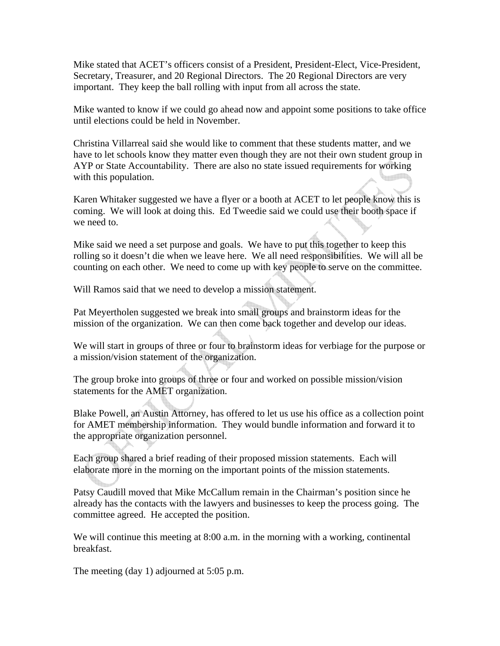Mike stated that ACET's officers consist of a President, President-Elect, Vice-President, Secretary, Treasurer, and 20 Regional Directors. The 20 Regional Directors are very important. They keep the ball rolling with input from all across the state.

Mike wanted to know if we could go ahead now and appoint some positions to take office until elections could be held in November.

Christina Villarreal said she would like to comment that these students matter, and we have to let schools know they matter even though they are not their own student group in AYP or State Accountability. There are also no state issued requirements for working with this population.

Karen Whitaker suggested we have a flyer or a booth at ACET to let people know this is coming. We will look at doing this. Ed Tweedie said we could use their booth space if we need to.

Mike said we need a set purpose and goals. We have to put this together to keep this rolling so it doesn't die when we leave here. We all need responsibilities. We will all be counting on each other. We need to come up with key people to serve on the committee.

Will Ramos said that we need to develop a mission statement.

Pat Meyertholen suggested we break into small groups and brainstorm ideas for the mission of the organization. We can then come back together and develop our ideas.

We will start in groups of three or four to brainstorm ideas for verbiage for the purpose or a mission/vision statement of the organization.

The group broke into groups of three or four and worked on possible mission/vision statements for the AMET organization.

Blake Powell, an Austin Attorney, has offered to let us use his office as a collection point for AMET membership information. They would bundle information and forward it to the appropriate organization personnel.

Each group shared a brief reading of their proposed mission statements. Each will elaborate more in the morning on the important points of the mission statements.

Patsy Caudill moved that Mike McCallum remain in the Chairman's position since he already has the contacts with the lawyers and businesses to keep the process going. The committee agreed. He accepted the position.

We will continue this meeting at 8:00 a.m. in the morning with a working, continental breakfast.

The meeting (day 1) adjourned at 5:05 p.m.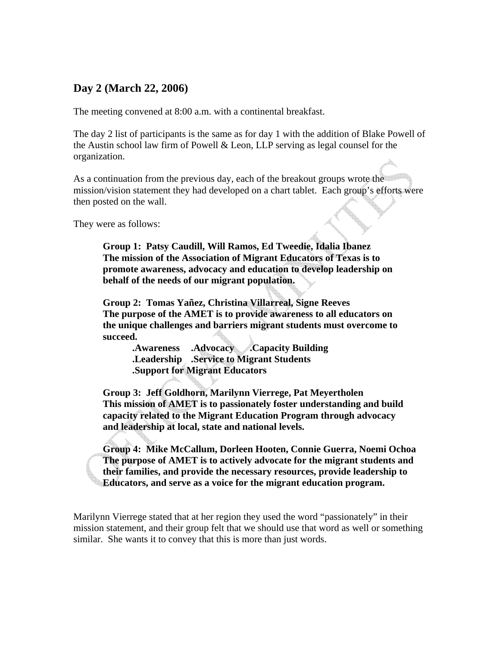## **Day 2 (March 22, 2006)**

The meeting convened at 8:00 a.m. with a continental breakfast.

The day 2 list of participants is the same as for day 1 with the addition of Blake Powell of the Austin school law firm of Powell & Leon, LLP serving as legal counsel for the organization.

As a continuation from the previous day, each of the breakout groups wrote the mission/vision statement they had developed on a chart tablet. Each group's efforts were then posted on the wall.

They were as follows:

 **Group 1: Patsy Caudill, Will Ramos, Ed Tweedie, Idalia Ibanez The mission of the Association of Migrant Educators of Texas is to promote awareness, advocacy and education to develop leadership on behalf of the needs of our migrant population.** 

**Group 2: Tomas Yañez, Christina Villarreal, Signe Reeves The purpose of the AMET is to provide awareness to all educators on the unique challenges and barriers migrant students must overcome to succeed.** 

 **.Awareness .Advocacy .Capacity Building .Leadership .Service to Migrant Students .Support for Migrant Educators** 

 **Group 3: Jeff Goldhorn, Marilynn Vierrege, Pat Meyertholen This mission of AMET is to passionately foster understanding and build capacity related to the Migrant Education Program through advocacy and leadership at local, state and national levels.** 

 **Group 4: Mike McCallum, Dorleen Hooten, Connie Guerra, Noemi Ochoa The purpose of AMET is to actively advocate for the migrant students and their families, and provide the necessary resources, provide leadership to Educators, and serve as a voice for the migrant education program.** 

Marilynn Vierrege stated that at her region they used the word "passionately" in their mission statement, and their group felt that we should use that word as well or something similar. She wants it to convey that this is more than just words.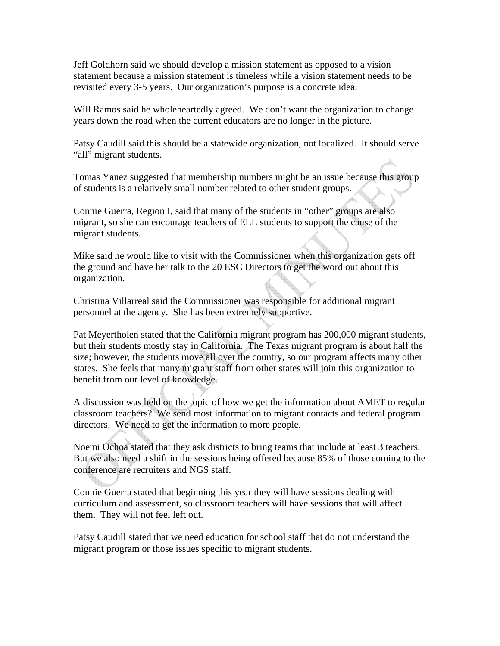Jeff Goldhorn said we should develop a mission statement as opposed to a vision statement because a mission statement is timeless while a vision statement needs to be revisited every 3-5 years. Our organization's purpose is a concrete idea.

Will Ramos said he wholeheartedly agreed. We don't want the organization to change years down the road when the current educators are no longer in the picture.

Patsy Caudill said this should be a statewide organization, not localized. It should serve "all" migrant students.

Tomas Yanez suggested that membership numbers might be an issue because this group of students is a relatively small number related to other student groups.

Connie Guerra, Region I, said that many of the students in "other" groups are also migrant, so she can encourage teachers of ELL students to support the cause of the migrant students.

Mike said he would like to visit with the Commissioner when this organization gets off the ground and have her talk to the 20 ESC Directors to get the word out about this organization.

Christina Villarreal said the Commissioner was responsible for additional migrant personnel at the agency. She has been extremely supportive.

Pat Meyertholen stated that the California migrant program has 200,000 migrant students, but their students mostly stay in California. The Texas migrant program is about half the size; however, the students move all over the country, so our program affects many other states. She feels that many migrant staff from other states will join this organization to benefit from our level of knowledge.

A discussion was held on the topic of how we get the information about AMET to regular classroom teachers? We send most information to migrant contacts and federal program directors. We need to get the information to more people.

Noemi Ochoa stated that they ask districts to bring teams that include at least 3 teachers. But we also need a shift in the sessions being offered because 85% of those coming to the conference are recruiters and NGS staff.

Connie Guerra stated that beginning this year they will have sessions dealing with curriculum and assessment, so classroom teachers will have sessions that will affect them. They will not feel left out.

Patsy Caudill stated that we need education for school staff that do not understand the migrant program or those issues specific to migrant students.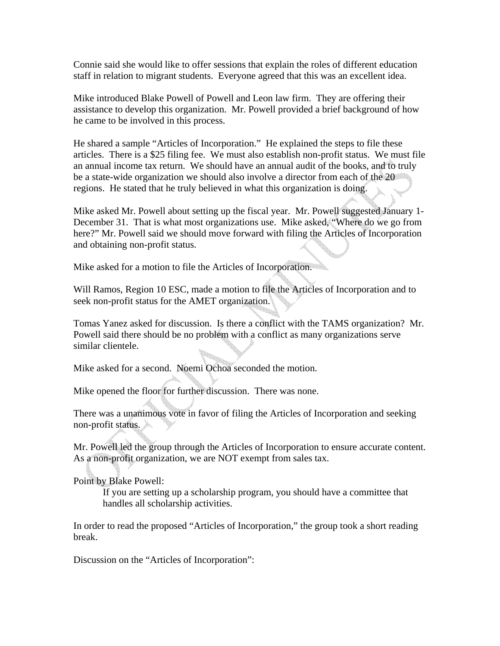Connie said she would like to offer sessions that explain the roles of different education staff in relation to migrant students. Everyone agreed that this was an excellent idea.

Mike introduced Blake Powell of Powell and Leon law firm. They are offering their assistance to develop this organization. Mr. Powell provided a brief background of how he came to be involved in this process.

He shared a sample "Articles of Incorporation." He explained the steps to file these articles. There is a \$25 filing fee. We must also establish non-profit status. We must file an annual income tax return. We should have an annual audit of the books, and to truly be a state-wide organization we should also involve a director from each of the 20 regions. He stated that he truly believed in what this organization is doing.

Mike asked Mr. Powell about setting up the fiscal year. Mr. Powell suggested January 1- December 31. That is what most organizations use. Mike asked, "Where do we go from here?" Mr. Powell said we should move forward with filing the Articles of Incorporation and obtaining non-profit status.

Mike asked for a motion to file the Articles of Incorporation.

Will Ramos, Region 10 ESC, made a motion to file the Articles of Incorporation and to seek non-profit status for the AMET organization.

Tomas Yanez asked for discussion. Is there a conflict with the TAMS organization? Mr. Powell said there should be no problem with a conflict as many organizations serve similar clientele.

Mike asked for a second. Noemi Ochoa seconded the motion.

Mike opened the floor for further discussion. There was none.

There was a unanimous vote in favor of filing the Articles of Incorporation and seeking non-profit status.

Mr. Powell led the group through the Articles of Incorporation to ensure accurate content. As a non-profit organization, we are NOT exempt from sales tax.

Point by Blake Powell:

If you are setting up a scholarship program, you should have a committee that handles all scholarship activities.

In order to read the proposed "Articles of Incorporation," the group took a short reading break.

Discussion on the "Articles of Incorporation":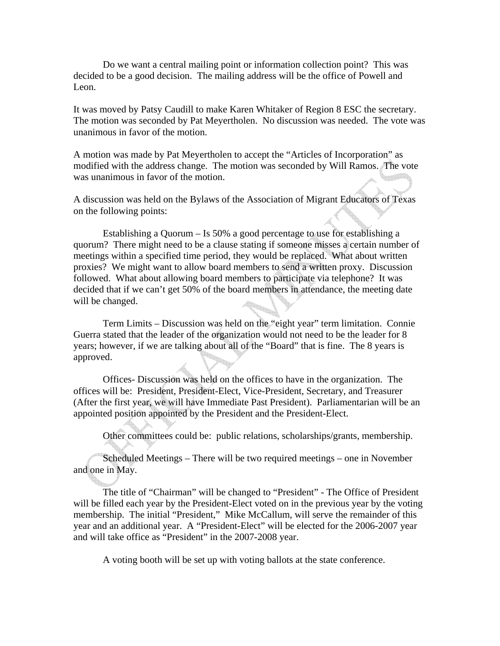Do we want a central mailing point or information collection point? This was decided to be a good decision. The mailing address will be the office of Powell and Leon.

It was moved by Patsy Caudill to make Karen Whitaker of Region 8 ESC the secretary. The motion was seconded by Pat Meyertholen. No discussion was needed. The vote was unanimous in favor of the motion.

A motion was made by Pat Meyertholen to accept the "Articles of Incorporation" as modified with the address change. The motion was seconded by Will Ramos. The vote was unanimous in favor of the motion.

A discussion was held on the Bylaws of the Association of Migrant Educators of Texas on the following points:

 Establishing a Quorum – Is 50% a good percentage to use for establishing a quorum? There might need to be a clause stating if someone misses a certain number of meetings within a specified time period, they would be replaced. What about written proxies? We might want to allow board members to send a written proxy. Discussion followed. What about allowing board members to participate via telephone? It was decided that if we can't get 50% of the board members in attendance, the meeting date will be changed.

 Term Limits – Discussion was held on the "eight year" term limitation. Connie Guerra stated that the leader of the organization would not need to be the leader for 8 years; however, if we are talking about all of the "Board" that is fine. The 8 years is approved.

 Offices- Discussion was held on the offices to have in the organization. The offices will be: President, President-Elect, Vice-President, Secretary, and Treasurer (After the first year, we will have Immediate Past President). Parliamentarian will be an appointed position appointed by the President and the President-Elect.

Other committees could be: public relations, scholarships/grants, membership.

 Scheduled Meetings – There will be two required meetings – one in November and one in May.

 The title of "Chairman" will be changed to "President" - The Office of President will be filled each year by the President-Elect voted on in the previous year by the voting membership. The initial "President," Mike McCallum, will serve the remainder of this year and an additional year. A "President-Elect" will be elected for the 2006-2007 year and will take office as "President" in the 2007-2008 year.

A voting booth will be set up with voting ballots at the state conference.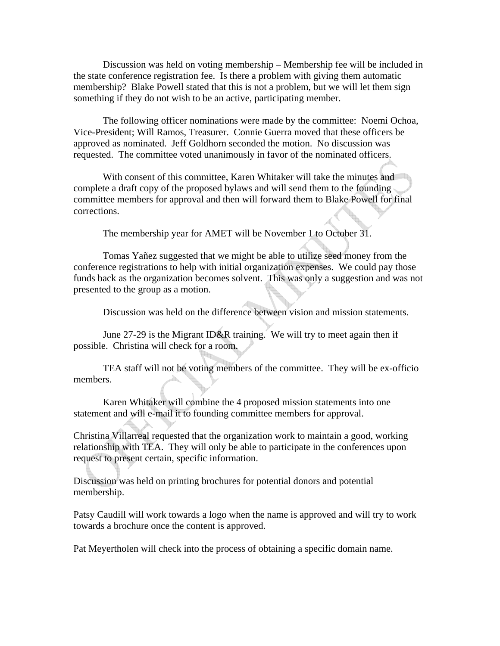Discussion was held on voting membership – Membership fee will be included in the state conference registration fee. Is there a problem with giving them automatic membership? Blake Powell stated that this is not a problem, but we will let them sign something if they do not wish to be an active, participating member.

 The following officer nominations were made by the committee: Noemi Ochoa, Vice-President; Will Ramos, Treasurer. Connie Guerra moved that these officers be approved as nominated. Jeff Goldhorn seconded the motion. No discussion was requested. The committee voted unanimously in favor of the nominated officers.

With consent of this committee, Karen Whitaker will take the minutes and complete a draft copy of the proposed bylaws and will send them to the founding committee members for approval and then will forward them to Blake Powell for final corrections.

The membership year for AMET will be November 1 to October 31.

 Tomas Yañez suggested that we might be able to utilize seed money from the conference registrations to help with initial organization expenses. We could pay those funds back as the organization becomes solvent. This was only a suggestion and was not presented to the group as a motion.

Discussion was held on the difference between vision and mission statements.

 June 27-29 is the Migrant ID&R training. We will try to meet again then if possible. Christina will check for a room.

 TEA staff will not be voting members of the committee. They will be ex-officio members.

 Karen Whitaker will combine the 4 proposed mission statements into one statement and will e-mail it to founding committee members for approval.

Christina Villarreal requested that the organization work to maintain a good, working relationship with TEA. They will only be able to participate in the conferences upon request to present certain, specific information.

Discussion was held on printing brochures for potential donors and potential membership.

Patsy Caudill will work towards a logo when the name is approved and will try to work towards a brochure once the content is approved.

Pat Meyertholen will check into the process of obtaining a specific domain name.